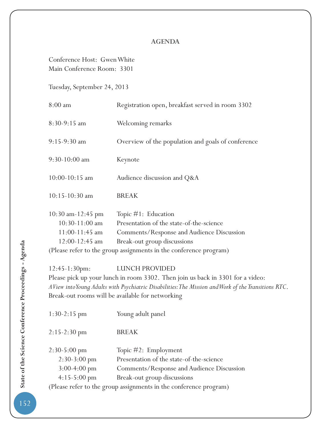## **AGENDA**

Conference Host: Gwen White Main Conference Room: 3301

Tuesday, September 24, 2013

| $8:00$ am                                                                         | Registration open, breakfast served in room 3302                                                                                               |  |
|-----------------------------------------------------------------------------------|------------------------------------------------------------------------------------------------------------------------------------------------|--|
| 8:30-9:15 am                                                                      | Welcoming remarks                                                                                                                              |  |
| $9:15-9:30$ am                                                                    | Overview of the population and goals of conference                                                                                             |  |
| $9:30-10:00$ am                                                                   | Keynote                                                                                                                                        |  |
| $10:00 - 10:15$ am                                                                | Audience discussion and Q&A                                                                                                                    |  |
| $10:15-10:30$ am                                                                  | <b>BREAK</b>                                                                                                                                   |  |
| $10:30$ am-12:45 pm<br>$10:30-11:00$ am<br>$11:00-11:45$ am<br>$12:00 - 12:45$ am | Topic $#1$ : Education<br>Presentation of the state-of-the-science<br>Comments/Response and Audience Discussion<br>Break-out group discussions |  |
| (Please refer to the group assignments in the conference program)                 |                                                                                                                                                |  |

12:45-1:30pm: LUNCH PROVIDED

Please pick up your lunch in room 3302. Then join us back in 3301 for a video: *A View into Young Adults with Psychiatric Disabilities: The Mission and Work of the Transitions RTC*. Break-out rooms will be available for networking

| 1:30-2:15 pm                                                      | Young adult panel                         |  |
|-------------------------------------------------------------------|-------------------------------------------|--|
| $2:15-2:30$ pm                                                    | <b>BREAK</b>                              |  |
| $2:30-5:00$ pm                                                    | Topic $\#2$ : Employment                  |  |
| $2:30-3:00$ pm                                                    | Presentation of the state-of-the-science  |  |
| $3:00-4:00$ pm                                                    | Comments/Response and Audience Discussion |  |
| $4:15-5:00 \text{ pm}$                                            | Break-out group discussions               |  |
| (Please refer to the group assignments in the conference program) |                                           |  |